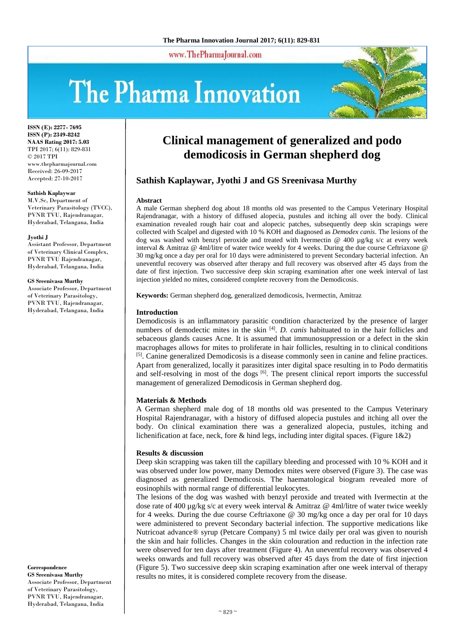www.ThePharmaJournal.com

# The Pharma Innovation



**ISSN (E): 2277- 7695 ISSN (P): 2349-8242 NAAS Rating 2017: 5.03** TPI 2017; 6(11): 829-831 © 2017 TPI www.thepharmajournal.com Received: 26-09-2017 Accepted: 27-10-2017

#### **Sathish Kaplaywar**

M.V.Sc, Department of Veterinary Parasitology (TVCC), PVNR TVU, Rajendranagar, Hyderabad, Telangana, India

#### **Jyothi J**

Assistant Professor, Department of Veterinary Clinical Complex, PVNR TVU Rajendranagar, Hyderabad, Telangana, India

#### **GS Sreenivasa Murthy**

Associate Professor, Department of Veterinary Parasitology, PVNR TVU, Rajendranagar, Hyderabad, Telangana, India

**Correspondence GS Sreenivasa Murthy** Associate Professor, Department of Veterinary Parasitology, PVNR TVU, Rajendranagar, Hyderabad, Telangana, India

# **Clinical management of generalized and podo demodicosis in German shepherd dog**

# **Sathish Kaplaywar, Jyothi J and GS Sreenivasa Murthy**

#### **Abstract**

A male German shepherd dog about 18 months old was presented to the Campus Veterinary Hospital Rajendranagar, with a history of diffused alopecia, pustules and itching all over the body. Clinical examination revealed rough hair coat and alopecic patches, subsequently deep skin scrapings were collected with Scalpel and digested with 10 % KOH and diagnosed as *Demodex canis*. The lesions of the dog was washed with benzyl peroxide and treated with Ivermectin  $\omega$  400  $\mu$ g/kg s/c at every week interval & Amitraz @ 4ml/litre of water twice weekly for 4 weeks. During the due course Ceftriaxone @ 30 mg/kg once a day per oral for 10 days were administered to prevent Secondary bacterial infection. An uneventful recovery was observed after therapy and full recovery was observed after 45 days from the date of first injection. Two successive deep skin scraping examination after one week interval of last injection yielded no mites, considered complete recovery from the Demodicosis.

**Keywords:** German shepherd dog, generalized demodicosis, Ivermectin, Amitraz

#### **Introduction**

Demodicosis is an inflammatory parasitic condition characterized by the presence of larger numbers of demodectic mites in the skin <sup>[4]</sup>. *D. canis* habituated to in the hair follicles and sebaceous glands causes Acne. It is assumed that immunosuppression or a defect in the skin macrophages allows for mites to proliferate in hair follicles, resulting in to clinical conditions <sup>[5]</sup>. Canine generalized Demodicosis is a disease commonly seen in canine and feline practices. Apart from generalized, locally it parasitizes inter digital space resulting in to Podo dermatitis and self-resolving in most of the dogs [6]. The present clinical report imports the successful management of generalized Demodicosis in German shepherd dog.

#### **Materials & Methods**

A German shepherd male dog of 18 months old was presented to the Campus Veterinary Hospital Rajendranagar, with a history of diffused alopecia pustules and itching all over the body. On clinical examination there was a generalized alopecia, pustules, itching and lichenification at face, neck, fore  $\&$  hind legs, including inter digital spaces. (Figure 1 $\&$ 2)

#### **Results & discussion**

Deep skin scrapping was taken till the capillary bleeding and processed with 10 % KOH and it was observed under low power, many Demodex mites were observed (Figure 3). The case was diagnosed as generalized Demodicosis. The haematological biogram revealed more of eosinophils with normal range of differential leukocytes.

The lesions of the dog was washed with benzyl peroxide and treated with Ivermectin at the dose rate of 400 µg/kg s/c at every week interval & Amitraz @ 4ml/litre of water twice weekly for 4 weeks. During the due course Ceftriaxone @ 30 mg/kg once a day per oral for 10 days were administered to prevent Secondary bacterial infection. The supportive medications like Nutricoat advance® syrup (Petcare Company) 5 ml twice daily per oral was given to nourish the skin and hair follicles. Changes in the skin colouration and reduction in the infection rate were observed for ten days after treatment (Figure 4). An uneventful recovery was observed 4 weeks onwards and full recovery was observed after 45 days from the date of first injection (Figure 5). Two successive deep skin scraping examination after one week interval of therapy results no mites, it is considered complete recovery from the disease.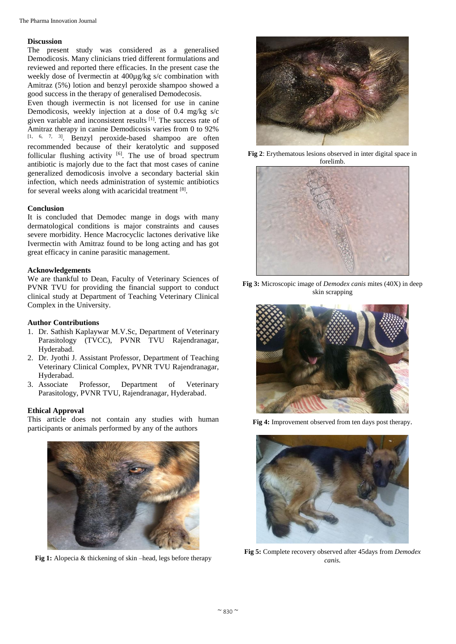## **Discussion**

The present study was considered as a generalised Demodicosis. Many clinicians tried different formulations and reviewed and reported there efficacies. In the present case the weekly dose of Ivermectin at 400µg/kg s/c combination with Amitraz (5%) lotion and benzyl peroxide shampoo showed a good success in the therapy of generalised Demodecosis.

Even though ivermectin is not licensed for use in canine Demodicosis, weekly injection at a dose of 0.4 mg/kg s/c given variable and inconsistent results [1]. The success rate of Amitraz therapy in canine Demodicosis varies from 0 to 92% [1, 6, 7, 3]. Benzyl peroxide-based shampoo are often recommended because of their keratolytic and supposed follicular flushing activity  $[6]$ . The use of broad spectrum antibiotic is majorly due to the fact that most cases of canine generalized demodicosis involve a secondary bacterial skin infection, which needs administration of systemic antibiotics for several weeks along with acaricidal treatment [8].

# **Conclusion**

It is concluded that Demodec mange in dogs with many dermatological conditions is major constraints and causes severe morbidity. Hence Macrocyclic lactones derivative like Ivermectin with Amitraz found to be long acting and has got great efficacy in canine parasitic management.

# **Acknowledgements**

We are thankful to Dean, Faculty of Veterinary Sciences of PVNR TVU for providing the financial support to conduct clinical study at Department of Teaching Veterinary Clinical Complex in the University.

# **Author Contributions**

- 1. Dr. Sathish Kaplaywar M.V.Sc, Department of Veterinary Parasitology (TVCC), PVNR TVU Rajendranagar, Hyderabad.
- 2. Dr. Jyothi J. Assistant Professor, Department of Teaching Veterinary Clinical Complex, PVNR TVU Rajendranagar, Hyderabad.
- 3. Associate Professor, Department of Veterinary Parasitology, PVNR TVU, Rajendranagar, Hyderabad.

# **Ethical Approval**

This article does not contain any studies with human participants or animals performed by any of the authors



**Fig 1:** Alopecia & thickening of skin –head, legs before therapy



**Fig 2**: Erythematous lesions observed in inter digital space in forelimb.



**Fig 3:** Microscopic image of *Demodex canis* mites (40X) in deep skin scrapping



**Fig 4:** Improvement observed from ten days post therapy.



**Fig 5:** Complete recovery observed after 45days from *Demodex canis.*